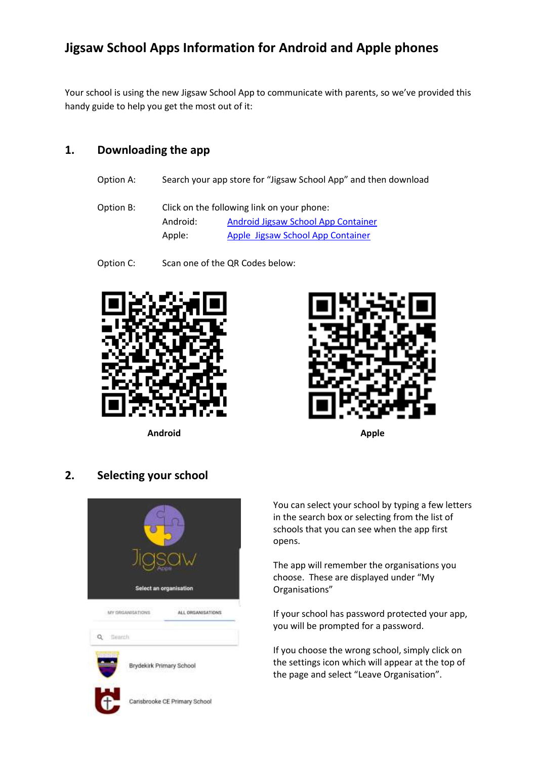# **Jigsaw School Apps Information for Android and Apple phones**

Your school is using the new Jigsaw School App to communicate with parents, so we've provided this handy guide to help you get the most out of it:

## **1. Downloading the app**

- Option A: Search your app store for "Jigsaw School App" and then download
- Option B: Click on the following link on your phone: Android: [Android Jigsaw School App Container](https://play.google.com/store/apps/details?id=com.jigsawapps.container) Apple: [Apple Jigsaw School App Container](https://apps.apple.com/gb/app/jigsaw-school-app/id1490695440)
- Option C: Scan one of the QR Codes below:



**Android Apple**



## **2. Selecting your school**



You can select your school by typing a few letters in the search box or selecting from the list of schools that you can see when the app first opens.

The app will remember the organisations you choose. These are displayed under "My Organisations"

If your school has password protected your app, you will be prompted for a password.

If you choose the wrong school, simply click on the settings icon which will appear at the top of the page and select "Leave Organisation".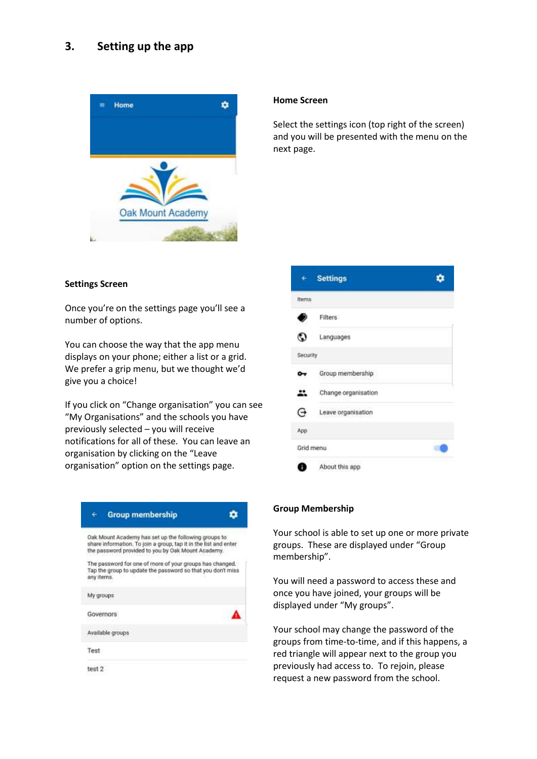## **3. Setting up the app**



#### **Home Screen**

Select the settings icon (top right of the screen) and you will be presented with the menu on the next page.

## **Settings Screen**

Once you're on the settings page you'll see a number of options.

You can choose the way that the app menu displays on your phone; either a list or a grid. We prefer a grip menu, but we thought we'd give you a choice!

If you click on "Change organisation" you can see "My Organisations" and the schools you have previously selected – you will receive notifications for all of these. You can leave an organisation by clicking on the "Leave organisation" option on the settings page.

| <b>Group membership</b>                                                                                                                                                         |  |
|---------------------------------------------------------------------------------------------------------------------------------------------------------------------------------|--|
| Oak Mount Academy has set up the following groups to.<br>share information. To join a group, tap it in the list and enter<br>the password provided to you by Oak Mount Academy. |  |
| The password for one of more of your groups has changed.<br>Tap the group to update the password so that you don't miss<br>any items.                                           |  |
| My groups                                                                                                                                                                       |  |
| Governors                                                                                                                                                                       |  |
| Available groups                                                                                                                                                                |  |
| Test                                                                                                                                                                            |  |
| test 2                                                                                                                                                                          |  |



## **Group Membership**

Your school is able to set up one or more private groups. These are displayed under "Group membership".

You will need a password to access these and once you have joined, your groups will be displayed under "My groups".

Your school may change the password of the groups from time-to-time, and if this happens, a red triangle will appear next to the group you previously had access to. To rejoin, please request a new password from the school.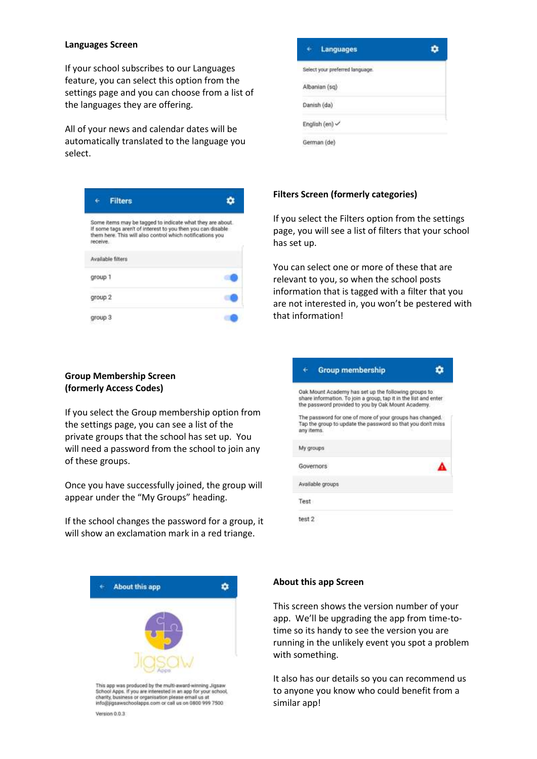#### **Languages Screen**

If your school subscribes to our Languages feature, you can select this option from the settings page and you can choose from a list of the languages they are offering.

All of your news and calendar dates will be automatically translated to the language you select.

| <b>Filters</b>                                                                                                                                                                                    |  |
|---------------------------------------------------------------------------------------------------------------------------------------------------------------------------------------------------|--|
| Some items may be tagged to indicate what they are about.<br>If some tags aren't of interest to you then you can disable<br>them here. This will also control which notifications you<br>receive. |  |
| Available filters                                                                                                                                                                                 |  |
| group 1                                                                                                                                                                                           |  |
| group 2                                                                                                                                                                                           |  |
| group 3                                                                                                                                                                                           |  |

## **Group Membership Screen (formerly Access Codes)**

If you select the Group membership option from the settings page, you can see a list of the private groups that the school has set up. You will need a password from the school to join any of these groups.

Once you have successfully joined, the group will appear under the "My Groups" heading.

If the school changes the password for a group, it will show an exclamation mark in a red triange.

| Languages<br>μ                                    |  |
|---------------------------------------------------|--|
| Select your preferred language.                   |  |
| Albanian (sq)                                     |  |
| Danish (da)                                       |  |
| English (en) V                                    |  |
| <b>Construction of the Artists</b><br>German (de) |  |

## **Filters Screen (formerly categories)**

If you select the Filters option from the settings page, you will see a list of filters that your school has set up.

You can select one or more of these that are relevant to you, so when the school posts information that is tagged with a filter that you are not interested in, you won't be pestered with that information!

| <b>Group membership</b>                                                                                                                                                         |  |
|---------------------------------------------------------------------------------------------------------------------------------------------------------------------------------|--|
| Oak Mount Academy has set up the following groups to.<br>share information. To join a group, tap it in the list and enter<br>the password provided to you by Oak Mount Academy. |  |
| The password for one of more of your groups has changed.<br>Tap the group to update the password so that you don't miss<br>any items.                                           |  |
| My groups                                                                                                                                                                       |  |
| Governors                                                                                                                                                                       |  |
| Available groups                                                                                                                                                                |  |
| Test                                                                                                                                                                            |  |
| test 2                                                                                                                                                                          |  |



#### **About this app Screen**

This screen shows the version number of your app. We'll be upgrading the app from time-totime so its handy to see the version you are running in the unlikely event you spot a problem with something.

It also has our details so you can recommend us to anyone you know who could benefit from a similar app!

Version 0.0.3